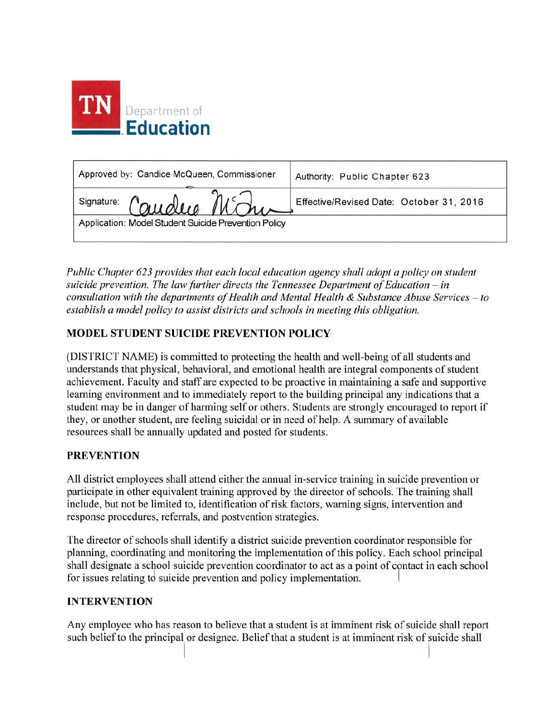

| Approved by: Candice McQueen, Commissioner           | Authority: Public Chapter 623            |
|------------------------------------------------------|------------------------------------------|
| Signature: Caudus Mchin                              | Effective/Revised Date: October 31, 2016 |
| Application: Model Student Suicide Prevention Policy |                                          |

*Public Chapter 623 provides that each local education agency shall adopt a policy on student suicide prevention. The law further directs the Tennessee Department of Education – in consultation with the departments ofHealth and Mental Health* & *Substance Abuse Services* - *to establish a model policy to assist districts and schools in meeting this obligation.* 

## **MODEL STUDENT SUICIDE PREVENTION POLICY**

(DISTRICT NAME) is committed to protecting the health and well-being of all students and understands that physical, behavioral, and emotional health are integral components of student achievement. Faculty and staff are expected to be proactive in maintaining a safe and supportive learning environment and to immediately report to the building principal any indications that a student may be in danger of harming self or others. Students are strongly encouraged to report if they, or another student, are feeling suicidal or in need of help. A summary of available resources shall be annually updated and posted for students.

## **PREVENTION**

All district employees shall attend either the annual in-service training in suicide prevention or participate in other equivalent training approved by the director of schools. The training shall include, but not be limited to, identification of risk factors, warning signs, intervention and response procedures, referrals, and postvention strategies.

The director of schools shall identify a district suicide prevention coordinator responsible for planning, coordinating and monitoring the implementation of this policy. Each school principal shall designate a school suicide prevention coordinator to act as a point of contact in each school for issues relating to suicide prevention and policy implementation.

## **INTERVENTION**

Any employee who has reason to believe that a student is at imminent risk of suicide shall report such belief to the principal or designee. Belief that a student is at imminent risk of suicide shall I I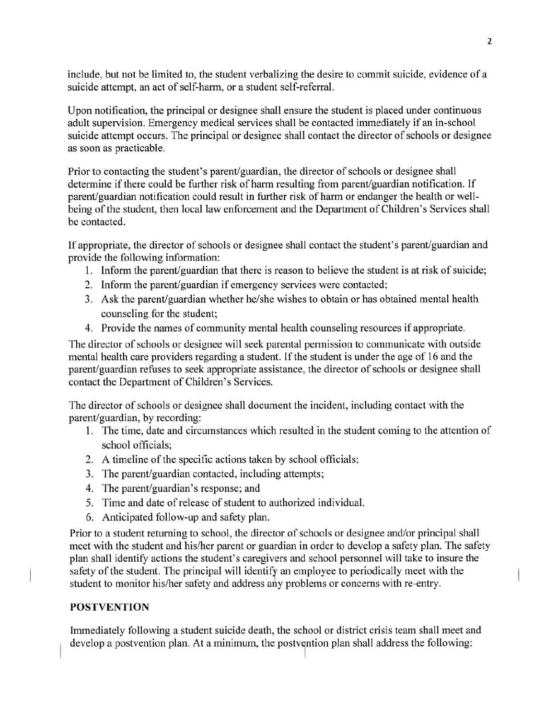include, but not be limited to, the student verbalizing the desire to commit suicide, evidence of a suicide attempt, an act of self-harm, or a student self-referral.

Upon notification, the principal or designee shall ensure the student is placed under continuous adult supervision. Emergency medical services shall be contacted immediately if an in-school suicide attempt occurs. The principal or designee shall contact the director of schools or designee as soon as practicable.

Prior to contacting the student's parent/guardian, the director of schools or designee shall determine if there could be further risk of harm resulting from parent/guardian notification. If parent/guardian notification could result in further risk of harm or endanger the health or wellbeing of the student, then local law enforcement and the Department of Children's Services shall be contacted.

Ifappropriate, the director of schools or designee shall contact the student's parent/guardian and provide the following information:

- 1. Inform the parent/guardian that there is reason to believe the student is at risk of suicide;
- 2. Inform the parent/guardian if emergency services were contacted;
- 3. Ask the parent/guardian whether he/she wishes to obtain or has obtained mental health counseling for the student;
- 4. Provide the names of community mental health counseling resources if appropriate.

The director of schools or designee will seek parental permission to communicate with outside mental health care providers regarding a student. If the student is under the age of 16 and the parent/guardian refuses to seek appropriate assistance, the director of schools or designee shall contact the Department of Children's Services.

The director of schools or designee shall document the incident, including contact with the parent/guardian, by recording:

- 1. The time, date and circumstances which resulted in the student coming to the attention of school officials;
- 2. A timeline of the specific actions taken by school officials;
- 3. The parent/guardian contacted, including attempts;
- 4. The parent/guardian's response; and
- 5. Time and date of release of student to authorized individual.
- 6. Anticipated follow-up and safety plan.

Prior to a student returning to school, the director of schools or designee and/or principal shall meet with the student and his/her parent or guardian in order to develop a safety plan. The safety plan shall identify actions the student's caregivers and school personnel will take to insure the safety of the student. The principal will identify an employee to periodically meet with the student to monitor his/her safety and address any problems or concerns with re-entry.

## **POSTVENTION**

Immediately following a student suicide death, the school or district crisis team shall meet and develop a postvention plan. At a minimum, the postvention plan shall address the following: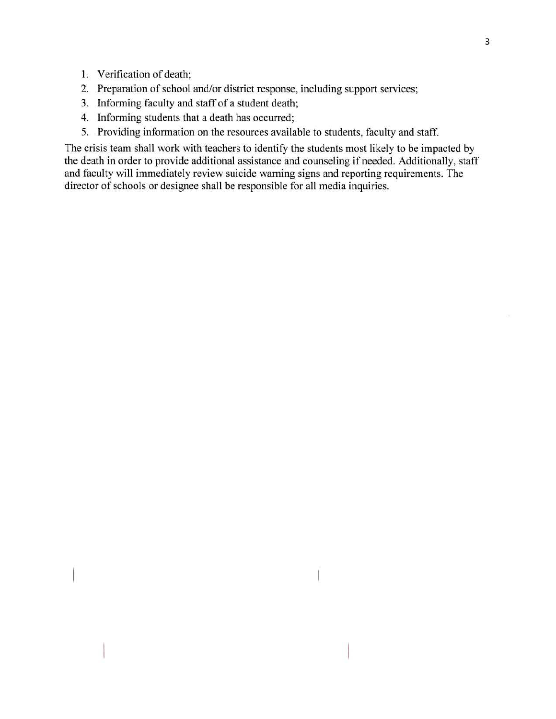- I. Verification of death;
- 2. Preparation of school and/or district response, including support services;
- 3. Informing faculty and staff of a student death;
- 4. Informing students that a death has occurred;
- 5. Providing information on the resources available to students, faculty and staff.

The crisis team shall work with teachers to identify the students most likely to be impacted by the death in order to provide additional assistance and counseling if needed. Additionally, staff and faculty will immediately review suicide warning signs and reporting requirements. The director of schools or designee shall be responsible for all media inquiries.